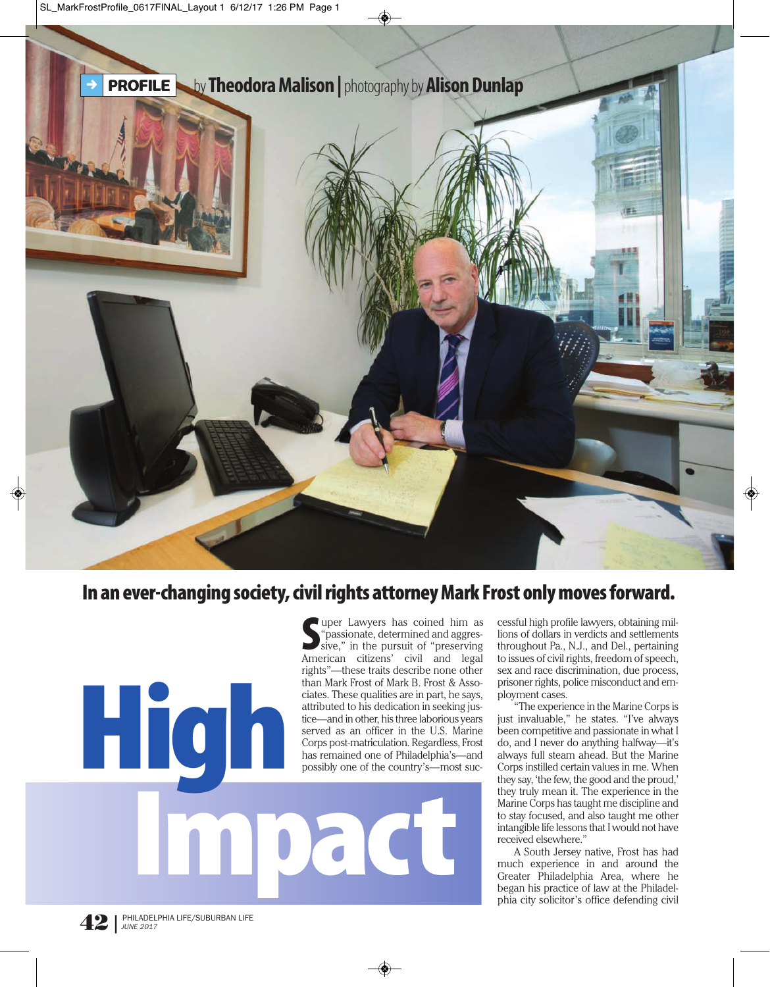

## **In an ever-changing society, civil rights attorney Mark Frost only moves forward.**

**S** "passionate, determined and aggres-<br>sive," in the pursuit of "preserving<br>American citizens' civil and legal uper Lawyers has coined him as "passionate, determined and aggressive," in the pursuit of "preserving rights"—these traits describe none other than Mark Frost of Mark B. Frost & Associates. These qualities are in part, he says, attributed to his dedication in seeking justice—and in other, his three laborious years served as an officer in the U.S. Marine Corps post-matriculation. Regardless, Frost has remained one of Philadelphia's—and possibly one of the country's—most suc-

**Impact**

cessful high profile lawyers, obtaining millions of dollars in verdicts and settlements throughout Pa., N.J., and Del., pertaining to issues of civil rights, freedom of speech, sex and race discrimination, due process, prisoner rights, police misconduct and employment cases.

"The experience in the Marine Corps is just invaluable," he states. "I've always been competitive and passionate in what I do, and I never do anything halfway—it's always full steam ahead. But the Marine Corps instilled certain values in me. When they say, 'the few, the good and the proud,' they truly mean it. The experience in the Marine Corps has taught me discipline and to stay focused, and also taught me other intangible life lessons that I would not have received elsewhere."

A South Jersey native, Frost has had much experience in and around the Greater Philadelphia Area, where he began his practice of law at the Philadelphia city solicitor's office defending civil

**High**